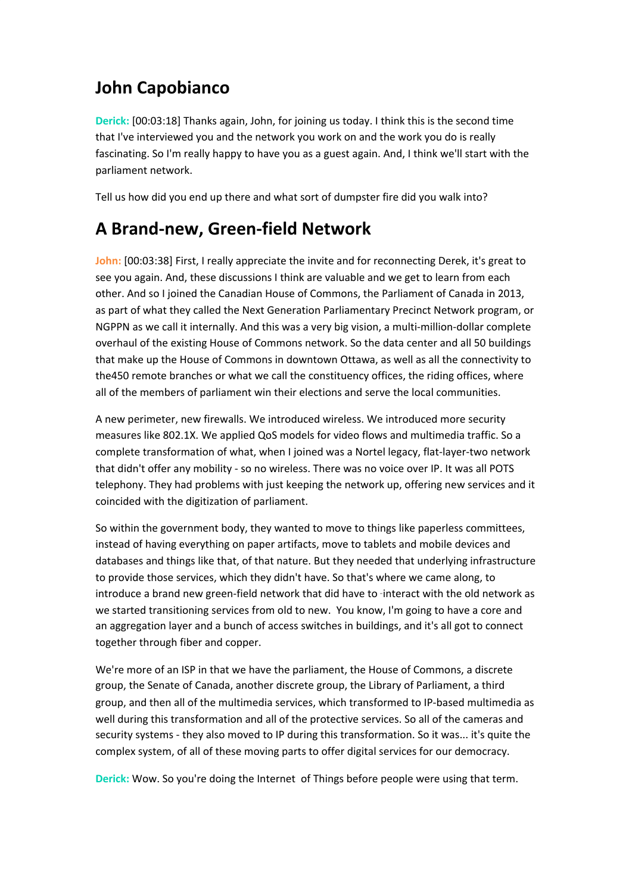# **John Capobianco**

**Derick:** [00:03:18] Thanks again, John, for joining us today. I think this is the second time that I've interviewed you and the network you work on and the work you do is really fascinating. So I'm really happy to have you as a guest again. And, I think we'll start with the parliament network.

Tell us how did you end up there and what sort of dumpster fire did you walk into?

#### **A Brand-new, Green-field Network**

**John:** [00:03:38] First, I really appreciate the invite and for reconnecting Derek, it's great to see you again. And, these discussions I think are valuable and we get to learn from each other. And so I joined the Canadian House of Commons, the Parliament of Canada in 2013, as part of what they called the Next Generation Parliamentary Precinct Network program, or NGPPN as we call it internally. And this was a very big vision, a multi-million-dollar complete overhaul of the existing House of Commons network. So the data center and all 50 buildings that make up the House of Commons in downtown Ottawa, as well as all the connectivity to the450 remote branches or what we call the constituency offices, the riding offices, where all of the members of parliament win their elections and serve the local communities.

A new perimeter, new firewalls. We introduced wireless. We introduced more security measures like 802.1X. We applied QoS models for video flows and multimedia traffic. So a complete transformation of what, when I joined was a Nortel legacy, flat-layer-two network that didn't offer any mobility - so no wireless. There was no voice over IP. It was all POTS telephony. They had problems with just keeping the network up, offering new services and it coincided with the digitization of parliament.

So within the government body, they wanted to move to things like paperless committees, instead of having everything on paper artifacts, move to tablets and mobile devices and databases and things like that, of that nature. But they needed that underlying infrastructure to provide those services, which they didn't have. So that's where we came along, to introduce a brand new green-field network that did have to -interact with the old network as we started transitioning services from old to new. You know, I'm going to have a core and an aggregation layer and a bunch of access switches in buildings, and it's all got to connect together through fiber and copper.

We're more of an ISP in that we have the parliament, the House of Commons, a discrete group, the Senate of Canada, another discrete group, the Library of Parliament, a third group, and then all of the multimedia services, which transformed to IP-based multimedia as well during this transformation and all of the protective services. So all of the cameras and security systems - they also moved to IP during this transformation. So it was... it's quite the complex system, of all of these moving parts to offer digital services for our democracy.

**Derick:** Wow. So you're doing the Internet of Things before people were using that term.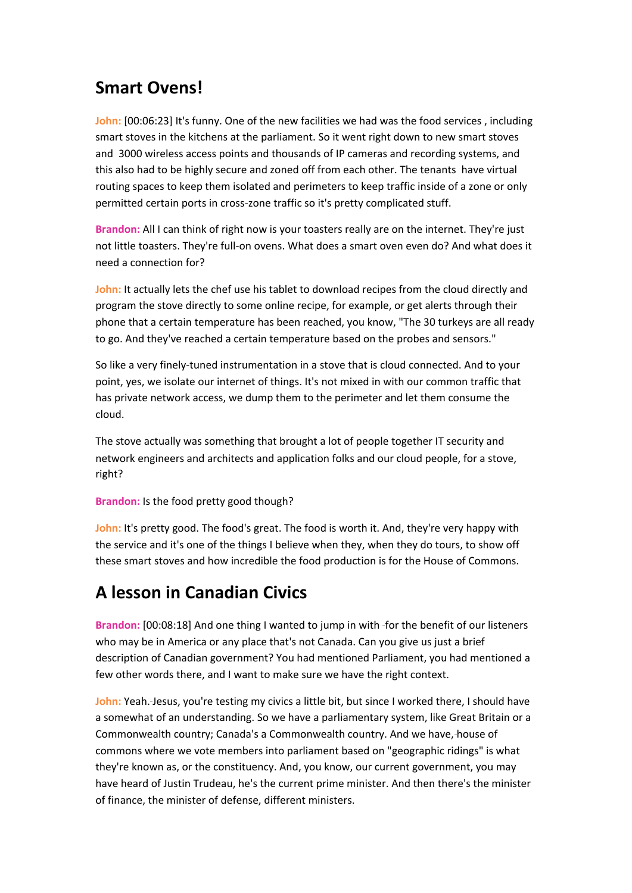# **Smart Ovens!**

John: [00:06:23] It's funny. One of the new facilities we had was the food services, including smart stoves in the kitchens at the parliament. So it went right down to new smart stoves and 3000 wireless access points and thousands of IP cameras and recording systems, and this also had to be highly secure and zoned off from each other. The tenants have virtual routing spaces to keep them isolated and perimeters to keep traffic inside of a zone or only permitted certain ports in cross-zone traffic so it's pretty complicated stuff.

**Brandon:** All I can think of right now is your toasters really are on the internet. They're just not little toasters. They're full-on ovens. What does a smart oven even do? And what does it need a connection for?

**John:** It actually lets the chef use his tablet to download recipes from the cloud directly and program the stove directly to some online recipe, for example, or get alerts through their phone that a certain temperature has been reached, you know, "The 30 turkeys are all ready to go. And they've reached a certain temperature based on the probes and sensors."

So like a very finely-tuned instrumentation in a stove that is cloud connected. And to your point, yes, we isolate our internet of things. It's not mixed in with our common traffic that has private network access, we dump them to the perimeter and let them consume the cloud.

The stove actually was something that brought a lot of people together IT security and network engineers and architects and application folks and our cloud people, for a stove, right?

#### **Brandon:** Is the food pretty good though?

**John:** It's pretty good. The food's great. The food is worth it. And, they're very happy with the service and it's one of the things I believe when they, when they do tours, to show off these smart stoves and how incredible the food production is for the House of Commons.

# **A lesson in Canadian Civics**

**Brandon:** [00:08:18] And one thing I wanted to jump in with for the benefit of our listeners who may be in America or any place that's not Canada. Can you give us just a brief description of Canadian government? You had mentioned Parliament, you had mentioned a few other words there, and I want to make sure we have the right context.

John: Yeah. Jesus, you're testing my civics a little bit, but since I worked there, I should have a somewhat of an understanding. So we have a parliamentary system, like Great Britain or a Commonwealth country; Canada's a Commonwealth country. And we have, house of commons where we vote members into parliament based on "geographic ridings" is what they're known as, or the constituency. And, you know, our current government, you may have heard of Justin Trudeau, he's the current prime minister. And then there's the minister of finance, the minister of defense, different ministers.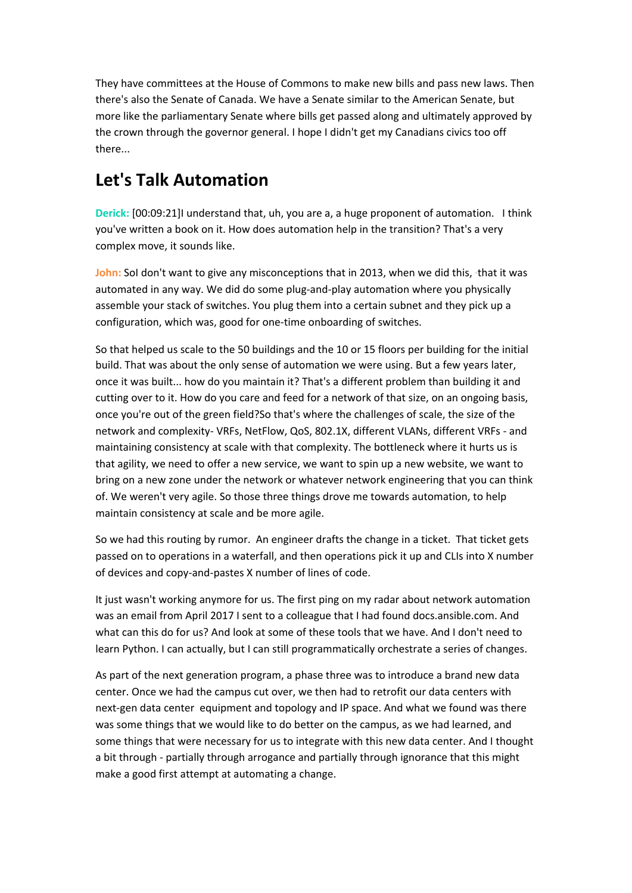They have committees at the House of Commons to make new bills and pass new laws. Then there's also the Senate of Canada. We have a Senate similar to the American Senate, but more like the parliamentary Senate where bills get passed along and ultimately approved by the crown through the governor general. I hope I didn't get my Canadians civics too off there...

# **Let's Talk Automation**

**Derick:** [00:09:21]I understand that, uh, you are a, a huge proponent of automation. I think you've written a book on it. How does automation help in the transition? That's a very complex move, it sounds like.

John: Sol don't want to give any misconceptions that in 2013, when we did this, that it was automated in any way. We did do some plug-and-play automation where you physically assemble your stack of switches. You plug them into a certain subnet and they pick up a configuration, which was, good for one-time onboarding of switches.

So that helped us scale to the 50 buildings and the 10 or 15 floors per building for the initial build. That was about the only sense of automation we were using. But a few years later, once it was built... how do you maintain it? That's a different problem than building it and cutting over to it. How do you care and feed for a network of that size, on an ongoing basis, once you're out of the green field?So that's where the challenges of scale, the size of the network and complexity- VRFs, NetFlow, QoS, 802.1X, different VLANs, different VRFs - and maintaining consistency at scale with that complexity. The bottleneck where it hurts us is that agility, we need to offer a new service, we want to spin up a new website, we want to bring on a new zone under the network or whatever network engineering that you can think of. We weren't very agile. So those three things drove me towards automation, to help maintain consistency at scale and be more agile.

So we had this routing by rumor. An engineer drafts the change in a ticket. That ticket gets passed on to operations in a waterfall, and then operations pick it up and CLIs into X number of devices and copy-and-pastes X number of lines of code.

It just wasn't working anymore for us. The first ping on my radar about network automation was an email from April 2017 I sent to a colleague that I had found docs.ansible.com. And what can this do for us? And look at some of these tools that we have. And I don't need to learn Python. I can actually, but I can still programmatically orchestrate a series of changes.

As part of the next generation program, a phase three was to introduce a brand new data center. Once we had the campus cut over, we then had to retrofit our data centers with next-gen data center equipment and topology and IP space. And what we found was there was some things that we would like to do better on the campus, as we had learned, and some things that were necessary for us to integrate with this new data center. And I thought a bit through - partially through arrogance and partially through ignorance that this might make a good first attempt at automating a change.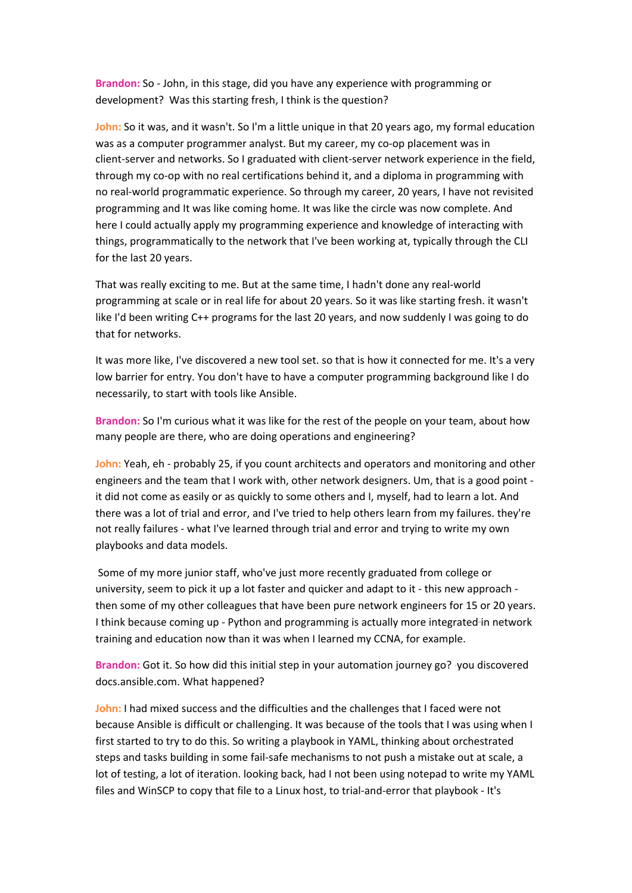**Brandon:** So - John, in this stage, did you have any experience with programming or development? Was this starting fresh, I think is the question?

**John:** So it was, and it wasn't. So I'm a little unique in that 20 years ago, my formal education was as a computer programmer analyst. But my career, my co-op placement was in client-server and networks. So I graduated with client-server network experience in the field, through my co-op with no real certifications behind it, and a diploma in programming with no real-world programmatic experience. So through my career, 20 years, I have not revisited programming and It was like coming home. It was like the circle was now complete. And here I could actually apply my programming experience and knowledge of interacting with things, programmatically to the network that I've been working at, typically through the CLI for the last 20 years.

That was really exciting to me. But at the same time, I hadn't done any real-world programming at scale or in real life for about 20 years. So it was like starting fresh. it wasn't like I'd been writing C++ programs for the last 20 years, and now suddenly I was going to do that for networks.

It was more like, I've discovered a new tool set. so that is how it connected for me. It's a very low barrier for entry. You don't have to have a computer programming background like I do necessarily, to start with tools like Ansible.

**Brandon:** So I'm curious what it was like for the rest of the people on your team, about how many people are there, who are doing operations and engineering?

**John:** Yeah, eh - probably 25, if you count architects and operators and monitoring and other engineers and the team that I work with, other network designers. Um, that is a good point it did not come as easily or as quickly to some others and I, myself, had to learn a lot. And there was a lot of trial and error, and I've tried to help others learn from my failures. they're not really failures - what I've learned through trial and error and trying to write my own playbooks and data models.

Some of my more junior staff, who've just more recently graduated from college or university, seem to pick it up a lot faster and quicker and adapt to it - this new approach then some of my other colleagues that have been pure network engineers for 15 or 20 years. I think because coming up - Python and programming is actually more integrated in network training and education now than it was when I learned my CCNA, for example.

**Brandon:** Got it. So how did this initial step in your automation journey go? you discovered docs.ansible.com. What happened?

**John:** I had mixed success and the difficulties and the challenges that I faced were not because Ansible is difficult or challenging. It was because of the tools that I was using when I first started to try to do this. So writing a playbook in YAML, thinking about orchestrated steps and tasks building in some fail-safe mechanisms to not push a mistake out at scale, a lot of testing, a lot of iteration. looking back, had I not been using notepad to write my YAML files and WinSCP to copy that file to a Linux host, to trial-and-error that playbook - It's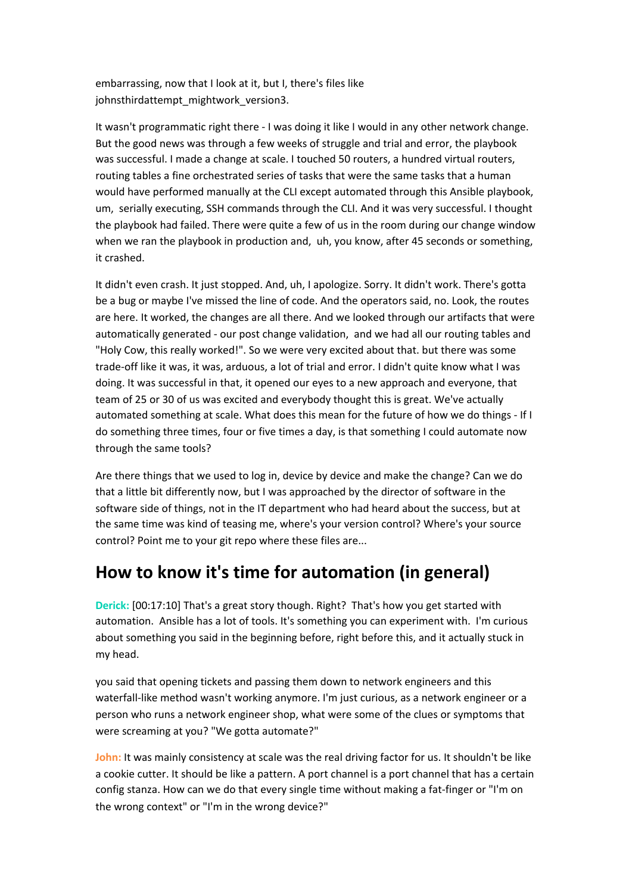embarrassing, now that I look at it, but I, there's files like johnsthirdattempt\_mightwork\_version3.

It wasn't programmatic right there - I was doing it like I would in any other network change. But the good news was through a few weeks of struggle and trial and error, the playbook was successful. I made a change at scale. I touched 50 routers, a hundred virtual routers, routing tables a fine orchestrated series of tasks that were the same tasks that a human would have performed manually at the CLI except automated through this Ansible playbook, um, serially executing, SSH commands through the CLI. And it was very successful. I thought the playbook had failed. There were quite a few of us in the room during our change window when we ran the playbook in production and, uh, you know, after 45 seconds or something, it crashed.

It didn't even crash. It just stopped. And, uh, I apologize. Sorry. It didn't work. There's gotta be a bug or maybe I've missed the line of code. And the operators said, no. Look, the routes are here. It worked, the changes are all there. And we looked through our artifacts that were automatically generated - our post change validation, and we had all our routing tables and "Holy Cow, this really worked!". So we were very excited about that. but there was some trade-off like it was, it was, arduous, a lot of trial and error. I didn't quite know what I was doing. It was successful in that, it opened our eyes to a new approach and everyone, that team of 25 or 30 of us was excited and everybody thought this is great. We've actually automated something at scale. What does this mean for the future of how we do things - If I do something three times, four or five times a day, is that something I could automate now through the same tools?

Are there things that we used to log in, device by device and make the change? Can we do that a little bit differently now, but I was approached by the director of software in the software side of things, not in the IT department who had heard about the success, but at the same time was kind of teasing me, where's your version control? Where's your source control? Point me to your git repo where these files are...

#### **How to know it's time for automation (in general)**

**Derick:** [00:17:10] That's a great story though. Right? That's how you get started with automation. Ansible has a lot of tools. It's something you can experiment with. I'm curious about something you said in the beginning before, right before this, and it actually stuck in my head.

you said that opening tickets and passing them down to network engineers and this waterfall-like method wasn't working anymore. I'm just curious, as a network engineer or a person who runs a network engineer shop, what were some of the clues or symptoms that were screaming at you? "We gotta automate?"

John: It was mainly consistency at scale was the real driving factor for us. It shouldn't be like a cookie cutter. It should be like a pattern. A port channel is a port channel that has a certain config stanza. How can we do that every single time without making a fat-finger or "I'm on the wrong context" or "I'm in the wrong device?"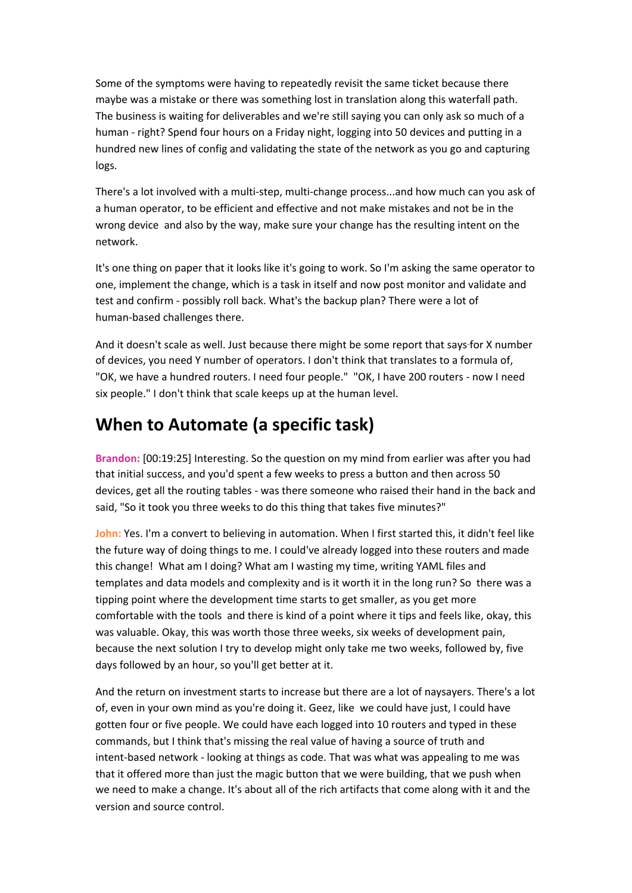Some of the symptoms were having to repeatedly revisit the same ticket because there maybe was a mistake or there was something lost in translation along this waterfall path. The business is waiting for deliverables and we're still saying you can only ask so much of a human - right? Spend four hours on a Friday night, logging into 50 devices and putting in a hundred new lines of config and validating the state of the network as you go and capturing logs.

There's a lot involved with a multi-step, multi-change process...and how much can you ask of a human operator, to be efficient and effective and not make mistakes and not be in the wrong device and also by the way, make sure your change has the resulting intent on the network.

It's one thing on paper that it looks like it's going to work. So I'm asking the same operator to one, implement the change, which is a task in itself and now post monitor and validate and test and confirm - possibly roll back. What's the backup plan? There were a lot of human-based challenges there.

And it doesn't scale as well. Just because there might be some report that says for X number of devices, you need Y number of operators. I don't think that translates to a formula of, "OK, we have a hundred routers. I need four people." "OK, I have 200 routers - now I need six people." I don't think that scale keeps up at the human level.

## **When to Automate (a specific task)**

**Brandon:** [00:19:25] Interesting. So the question on my mind from earlier was after you had that initial success, and you'd spent a few weeks to press a button and then across 50 devices, get all the routing tables - was there someone who raised their hand in the back and said, "So it took you three weeks to do this thing that takes five minutes?"

John: Yes. I'm a convert to believing in automation. When I first started this, it didn't feel like the future way of doing things to me. I could've already logged into these routers and made this change! What am I doing? What am I wasting my time, writing YAML files and templates and data models and complexity and is it worth it in the long run? So there was a tipping point where the development time starts to get smaller, as you get more comfortable with the tools and there is kind of a point where it tips and feels like, okay, this was valuable. Okay, this was worth those three weeks, six weeks of development pain, because the next solution I try to develop might only take me two weeks, followed by, five days followed by an hour, so you'll get better at it.

And the return on investment starts to increase but there are a lot of naysayers. There's a lot of, even in your own mind as you're doing it. Geez, like we could have just, I could have gotten four or five people. We could have each logged into 10 routers and typed in these commands, but I think that's missing the real value of having a source of truth and intent-based network - looking at things as code. That was what was appealing to me was that it offered more than just the magic button that we were building, that we push when we need to make a change. It's about all of the rich artifacts that come along with it and the version and source control.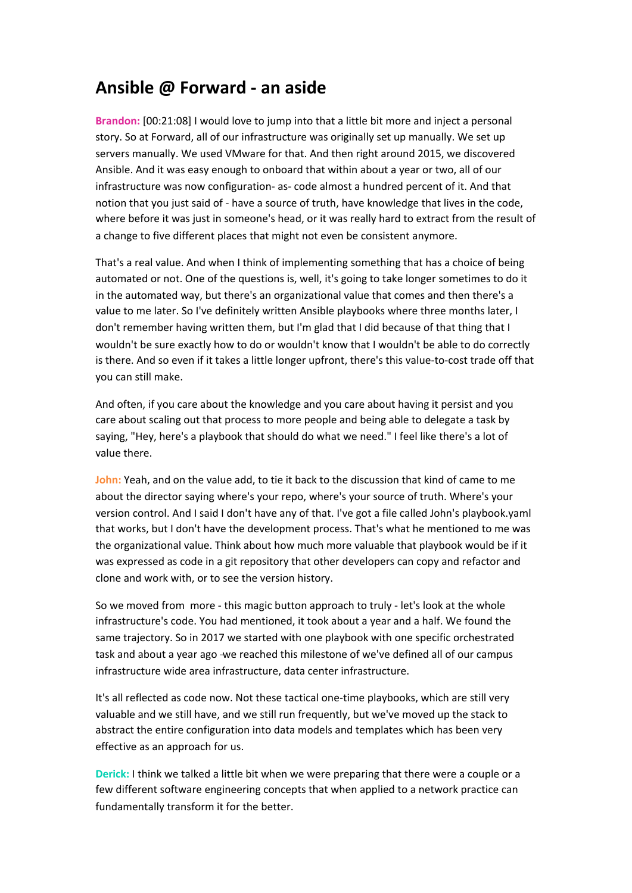#### **Ansible @ Forward - an aside**

**Brandon:** [00:21:08] I would love to jump into that a little bit more and inject a personal story. So at Forward, all of our infrastructure was originally set up manually. We set up servers manually. We used VMware for that. And then right around 2015, we discovered Ansible. And it was easy enough to onboard that within about a year or two, all of our infrastructure was now configuration- as- code almost a hundred percent of it. And that notion that you just said of - have a source of truth, have knowledge that lives in the code, where before it was just in someone's head, or it was really hard to extract from the result of a change to five different places that might not even be consistent anymore.

That's a real value. And when I think of implementing something that has a choice of being automated or not. One of the questions is, well, it's going to take longer sometimes to do it in the automated way, but there's an organizational value that comes and then there's a value to me later. So I've definitely written Ansible playbooks where three months later, I don't remember having written them, but I'm glad that I did because of that thing that I wouldn't be sure exactly how to do or wouldn't know that I wouldn't be able to do correctly is there. And so even if it takes a little longer upfront, there's this value-to-cost trade off that you can still make.

And often, if you care about the knowledge and you care about having it persist and you care about scaling out that process to more people and being able to delegate a task by saying, "Hey, here's a playbook that should do what we need." I feel like there's a lot of value there.

**John:** Yeah, and on the value add, to tie it back to the discussion that kind of came to me about the director saying where's your repo, where's your source of truth. Where's your version control. And I said I don't have any of that. I've got a file called John's playbook.yaml that works, but I don't have the development process. That's what he mentioned to me was the organizational value. Think about how much more valuable that playbook would be if it was expressed as code in a git repository that other developers can copy and refactor and clone and work with, or to see the version history.

So we moved from more - this magic button approach to truly - let's look at the whole infrastructure's code. You had mentioned, it took about a year and a half. We found the same trajectory. So in 2017 we started with one playbook with one specific orchestrated task and about a year ago -we reached this milestone of we've defined all of our campus infrastructure wide area infrastructure, data center infrastructure.

It's all reflected as code now. Not these tactical one-time playbooks, which are still very valuable and we still have, and we still run frequently, but we've moved up the stack to abstract the entire configuration into data models and templates which has been very effective as an approach for us.

**Derick:** I think we talked a little bit when we were preparing that there were a couple or a few different software engineering concepts that when applied to a network practice can fundamentally transform it for the better.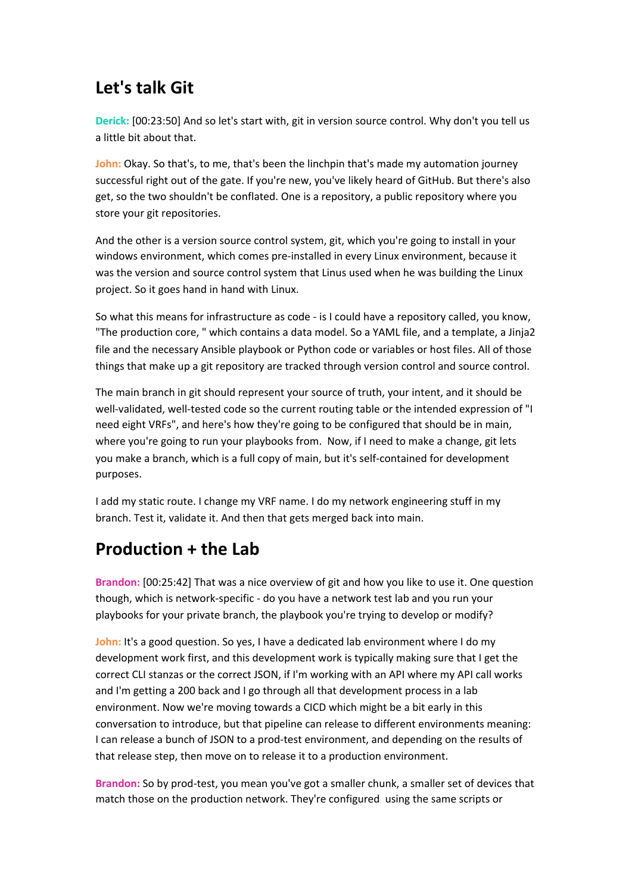# **Let's talk Git**

**Derick:** [00:23:50] And so let's start with, git in version source control. Why don't you tell us a little bit about that.

**John:** Okay. So that's, to me, that's been the linchpin that's made my automation journey successful right out of the gate. If you're new, you've likely heard of GitHub. But there's also get, so the two shouldn't be conflated. One is a repository, a public repository where you store your git repositories.

And the other is a version source control system, git, which you're going to install in your windows environment, which comes pre-installed in every Linux environment, because it was the version and source control system that Linus used when he was building the Linux project. So it goes hand in hand with Linux.

So what this means for infrastructure as code - is I could have a repository called, you know, "The production core, " which contains a data model. So a YAML file, and a template, a Jinja2 file and the necessary Ansible playbook or Python code or variables or host files. All of those things that make up a git repository are tracked through version control and source control.

The main branch in git should represent your source of truth, your intent, and it should be well-validated, well-tested code so the current routing table or the intended expression of "I need eight VRFs", and here's how they're going to be configured that should be in main, where you're going to run your playbooks from. Now, if I need to make a change, git lets you make a branch, which is a full copy of main, but it's self-contained for development purposes.

I add my static route. I change my VRF name. I do my network engineering stuff in my branch. Test it, validate it. And then that gets merged back into main.

#### **Production + the Lab**

**Brandon:** [00:25:42] That was a nice overview of git and how you like to use it. One question though, which is network-specific - do you have a network test lab and you run your playbooks for your private branch, the playbook you're trying to develop or modify?

**John:** It's a good question. So yes, I have a dedicated lab environment where I do my development work first, and this development work is typically making sure that I get the correct CLI stanzas or the correct JSON, if I'm working with an API where my API call works and I'm getting a 200 back and I go through all that development process in a lab environment. Now we're moving towards a CICD which might be a bit early in this conversation to introduce, but that pipeline can release to different environments meaning: I can release a bunch of JSON to a prod-test environment, and depending on the results of that release step, then move on to release it to a production environment.

**Brandon:** So by prod-test, you mean you've got a smaller chunk, a smaller set of devices that match those on the production network. They're configured using the same scripts or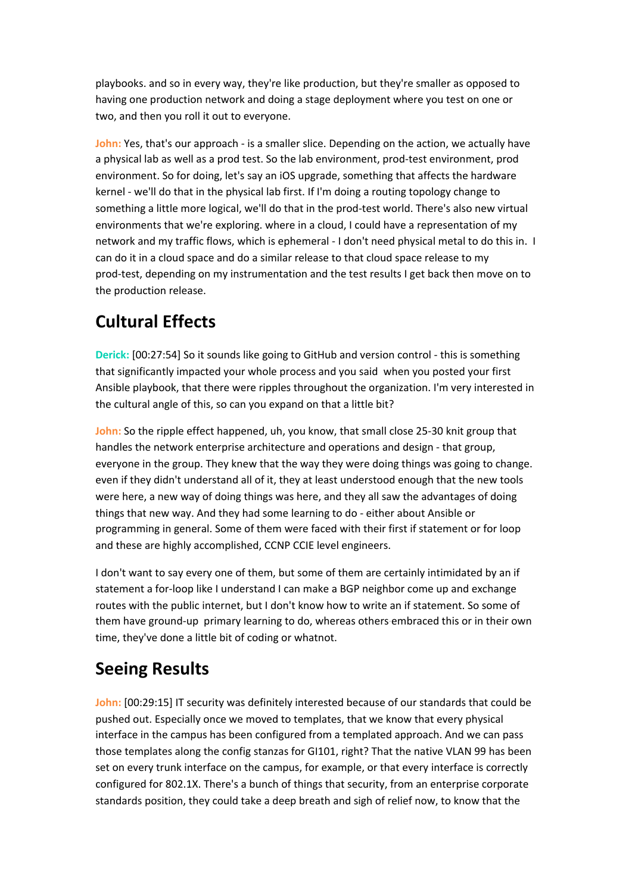playbooks. and so in every way, they're like production, but they're smaller as opposed to having one production network and doing a stage deployment where you test on one or two, and then you roll it out to everyone.

**John:** Yes, that's our approach - is a smaller slice. Depending on the action, we actually have a physical lab as well as a prod test. So the lab environment, prod-test environment, prod environment. So for doing, let's say an iOS upgrade, something that affects the hardware kernel - we'll do that in the physical lab first. If I'm doing a routing topology change to something a little more logical, we'll do that in the prod-test world. There's also new virtual environments that we're exploring. where in a cloud, I could have a representation of my network and my traffic flows, which is ephemeral - I don't need physical metal to do this in. I can do it in a cloud space and do a similar release to that cloud space release to my prod-test, depending on my instrumentation and the test results I get back then move on to the production release.

# **Cultural Effects**

**Derick:** [00:27:54] So it sounds like going to GitHub and version control - this is something that significantly impacted your whole process and you said when you posted your first Ansible playbook, that there were ripples throughout the organization. I'm very interested in the cultural angle of this, so can you expand on that a little bit?

**John:** So the ripple effect happened, uh, you know, that small close 25-30 knit group that handles the network enterprise architecture and operations and design - that group, everyone in the group. They knew that the way they were doing things was going to change. even if they didn't understand all of it, they at least understood enough that the new tools were here, a new way of doing things was here, and they all saw the advantages of doing things that new way. And they had some learning to do - either about Ansible or programming in general. Some of them were faced with their first if statement or for loop and these are highly accomplished, CCNP CCIE level engineers.

I don't want to say every one of them, but some of them are certainly intimidated by an if statement a for-loop like I understand I can make a BGP neighbor come up and exchange routes with the public internet, but I don't know how to write an if statement. So some of them have ground-up primary learning to do, whereas others embraced this or in their own time, they've done a little bit of coding or whatnot.

# **Seeing Results**

**John:** [00:29:15] IT security was definitely interested because of our standards that could be pushed out. Especially once we moved to templates, that we know that every physical interface in the campus has been configured from a templated approach. And we can pass those templates along the config stanzas for GI101, right? That the native VLAN 99 has been set on every trunk interface on the campus, for example, or that every interface is correctly configured for 802.1X. There's a bunch of things that security, from an enterprise corporate standards position, they could take a deep breath and sigh of relief now, to know that the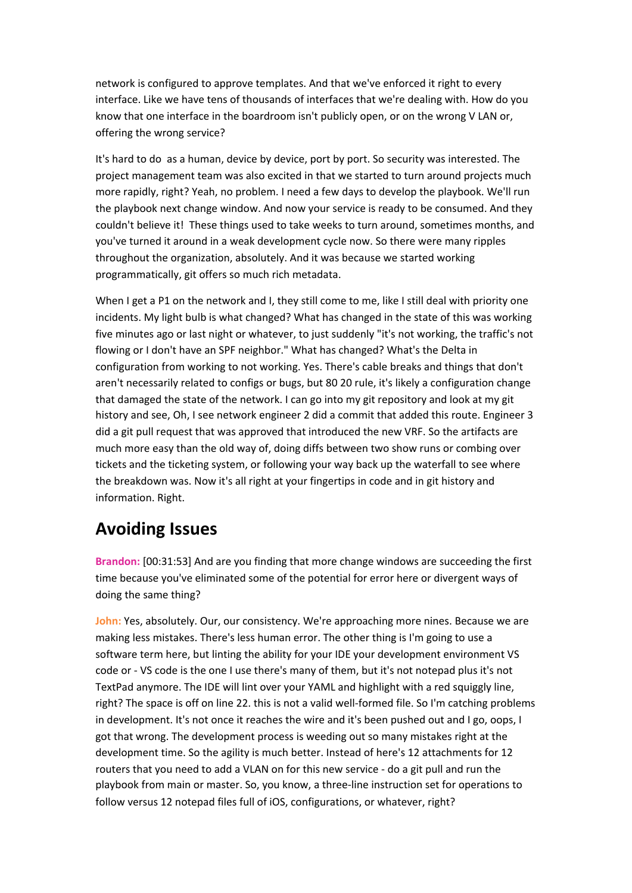network is configured to approve templates. And that we've enforced it right to every interface. Like we have tens of thousands of interfaces that we're dealing with. How do you know that one interface in the boardroom isn't publicly open, or on the wrong V LAN or, offering the wrong service?

It's hard to do as a human, device by device, port by port. So security was interested. The project management team was also excited in that we started to turn around projects much more rapidly, right? Yeah, no problem. I need a few days to develop the playbook. We'll run the playbook next change window. And now your service is ready to be consumed. And they couldn't believe it! These things used to take weeks to turn around, sometimes months, and you've turned it around in a weak development cycle now. So there were many ripples throughout the organization, absolutely. And it was because we started working programmatically, git offers so much rich metadata.

When I get a P1 on the network and I, they still come to me, like I still deal with priority one incidents. My light bulb is what changed? What has changed in the state of this was working five minutes ago or last night or whatever, to just suddenly "it's not working, the traffic's not flowing or I don't have an SPF neighbor." What has changed? What's the Delta in configuration from working to not working. Yes. There's cable breaks and things that don't aren't necessarily related to configs or bugs, but 80 20 rule, it's likely a configuration change that damaged the state of the network. I can go into my git repository and look at my git history and see, Oh, I see network engineer 2 did a commit that added this route. Engineer 3 did a git pull request that was approved that introduced the new VRF. So the artifacts are much more easy than the old way of, doing diffs between two show runs or combing over tickets and the ticketing system, or following your way back up the waterfall to see where the breakdown was. Now it's all right at your fingertips in code and in git history and information. Right.

#### **Avoiding Issues**

**Brandon:** [00:31:53] And are you finding that more change windows are succeeding the first time because you've eliminated some of the potential for error here or divergent ways of doing the same thing?

**John:** Yes, absolutely. Our, our consistency. We're approaching more nines. Because we are making less mistakes. There's less human error. The other thing is I'm going to use a software term here, but linting the ability for your IDE your development environment VS code or - VS code is the one I use there's many of them, but it's not notepad plus it's not TextPad anymore. The IDE will lint over your YAML and highlight with a red squiggly line, right? The space is off on line 22. this is not a valid well-formed file. So I'm catching problems in development. It's not once it reaches the wire and it's been pushed out and I go, oops, I got that wrong. The development process is weeding out so many mistakes right at the development time. So the agility is much better. Instead of here's 12 attachments for 12 routers that you need to add a VLAN on for this new service - do a git pull and run the playbook from main or master. So, you know, a three-line instruction set for operations to follow versus 12 notepad files full of iOS, configurations, or whatever, right?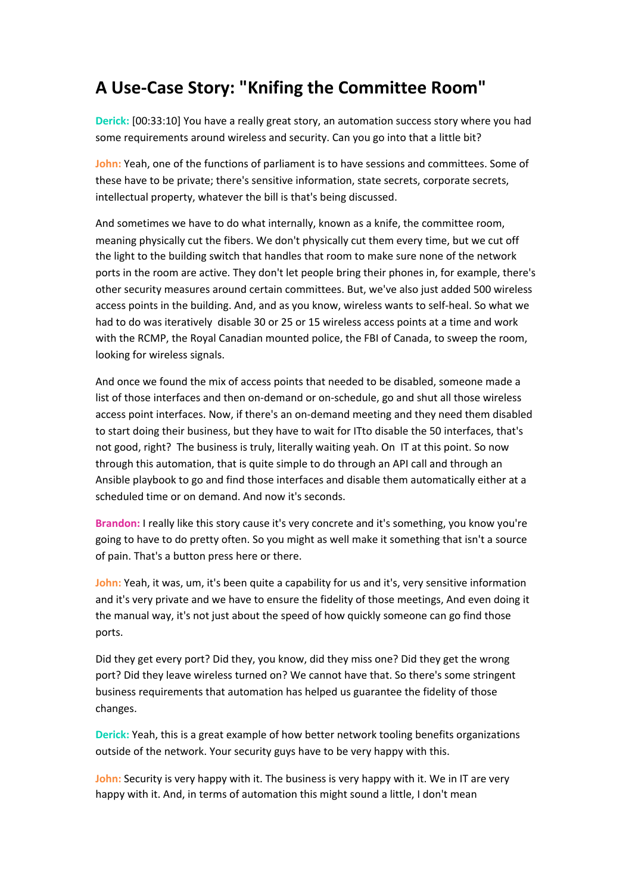## **A Use-Case Story: "Knifing the Committee Room"**

**Derick:** [00:33:10] You have a really great story, an automation success story where you had some requirements around wireless and security. Can you go into that a little bit?

**John:** Yeah, one of the functions of parliament is to have sessions and committees. Some of these have to be private; there's sensitive information, state secrets, corporate secrets, intellectual property, whatever the bill is that's being discussed.

And sometimes we have to do what internally, known as a knife, the committee room, meaning physically cut the fibers. We don't physically cut them every time, but we cut off the light to the building switch that handles that room to make sure none of the network ports in the room are active. They don't let people bring their phones in, for example, there's other security measures around certain committees. But, we've also just added 500 wireless access points in the building. And, and as you know, wireless wants to self-heal. So what we had to do was iteratively disable 30 or 25 or 15 wireless access points at a time and work with the RCMP, the Royal Canadian mounted police, the FBI of Canada, to sweep the room, looking for wireless signals.

And once we found the mix of access points that needed to be disabled, someone made a list of those interfaces and then on-demand or on-schedule, go and shut all those wireless access point interfaces. Now, if there's an on-demand meeting and they need them disabled to start doing their business, but they have to wait for ITto disable the 50 interfaces, that's not good, right? The business is truly, literally waiting yeah. On IT at this point. So now through this automation, that is quite simple to do through an API call and through an Ansible playbook to go and find those interfaces and disable them automatically either at a scheduled time or on demand. And now it's seconds.

**Brandon:** I really like this story cause it's very concrete and it's something, you know you're going to have to do pretty often. So you might as well make it something that isn't a source of pain. That's a button press here or there.

**John:** Yeah, it was, um, it's been quite a capability for us and it's, very sensitive information and it's very private and we have to ensure the fidelity of those meetings, And even doing it the manual way, it's not just about the speed of how quickly someone can go find those ports.

Did they get every port? Did they, you know, did they miss one? Did they get the wrong port? Did they leave wireless turned on? We cannot have that. So there's some stringent business requirements that automation has helped us guarantee the fidelity of those changes.

**Derick:** Yeah, this is a great example of how better network tooling benefits organizations outside of the network. Your security guys have to be very happy with this.

**John:** Security is very happy with it. The business is very happy with it. We in IT are very happy with it. And, in terms of automation this might sound a little, I don't mean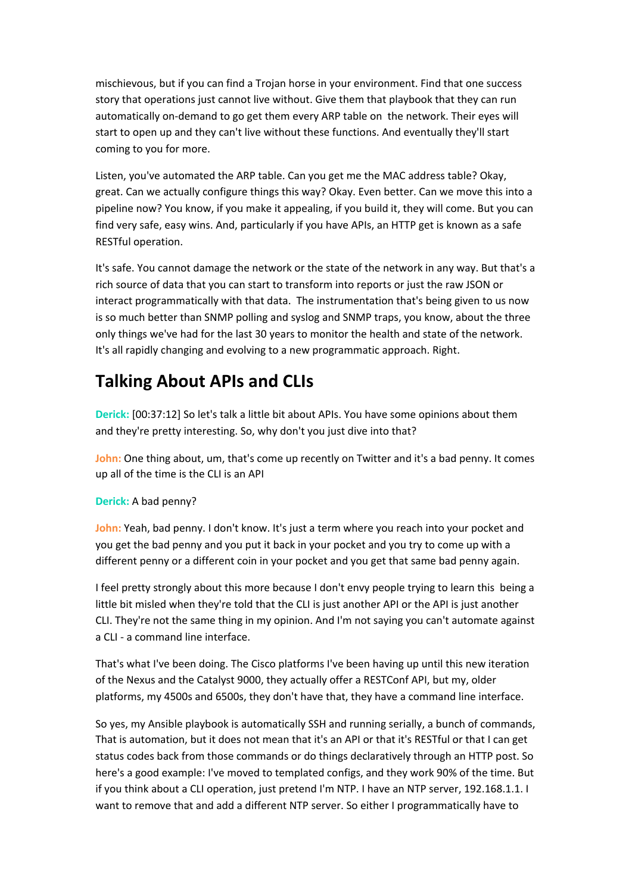mischievous, but if you can find a Trojan horse in your environment. Find that one success story that operations just cannot live without. Give them that playbook that they can run automatically on-demand to go get them every ARP table on the network. Their eyes will start to open up and they can't live without these functions. And eventually they'll start coming to you for more.

Listen, you've automated the ARP table. Can you get me the MAC address table? Okay, great. Can we actually configure things this way? Okay. Even better. Can we move this into a pipeline now? You know, if you make it appealing, if you build it, they will come. But you can find very safe, easy wins. And, particularly if you have APIs, an HTTP get is known as a safe RESTful operation.

It's safe. You cannot damage the network or the state of the network in any way. But that's a rich source of data that you can start to transform into reports or just the raw JSON or interact programmatically with that data. The instrumentation that's being given to us now is so much better than SNMP polling and syslog and SNMP traps, you know, about the three only things we've had for the last 30 years to monitor the health and state of the network. It's all rapidly changing and evolving to a new programmatic approach. Right.

#### **Talking About APIs and CLIs**

**Derick:** [00:37:12] So let's talk a little bit about APIs. You have some opinions about them and they're pretty interesting. So, why don't you just dive into that?

**John:** One thing about, um, that's come up recently on Twitter and it's a bad penny. It comes up all of the time is the CLI is an API

#### **Derick:** A bad penny?

**John:** Yeah, bad penny. I don't know. It's just a term where you reach into your pocket and you get the bad penny and you put it back in your pocket and you try to come up with a different penny or a different coin in your pocket and you get that same bad penny again.

I feel pretty strongly about this more because I don't envy people trying to learn this being a little bit misled when they're told that the CLI is just another API or the API is just another CLI. They're not the same thing in my opinion. And I'm not saying you can't automate against a CLI - a command line interface.

That's what I've been doing. The Cisco platforms I've been having up until this new iteration of the Nexus and the Catalyst 9000, they actually offer a RESTConf API, but my, older platforms, my 4500s and 6500s, they don't have that, they have a command line interface.

So yes, my Ansible playbook is automatically SSH and running serially, a bunch of commands, That is automation, but it does not mean that it's an API or that it's RESTful or that I can get status codes back from those commands or do things declaratively through an HTTP post. So here's a good example: I've moved to templated configs, and they work 90% of the time. But if you think about a CLI operation, just pretend I'm NTP. I have an NTP server, 192.168.1.1. I want to remove that and add a different NTP server. So either I programmatically have to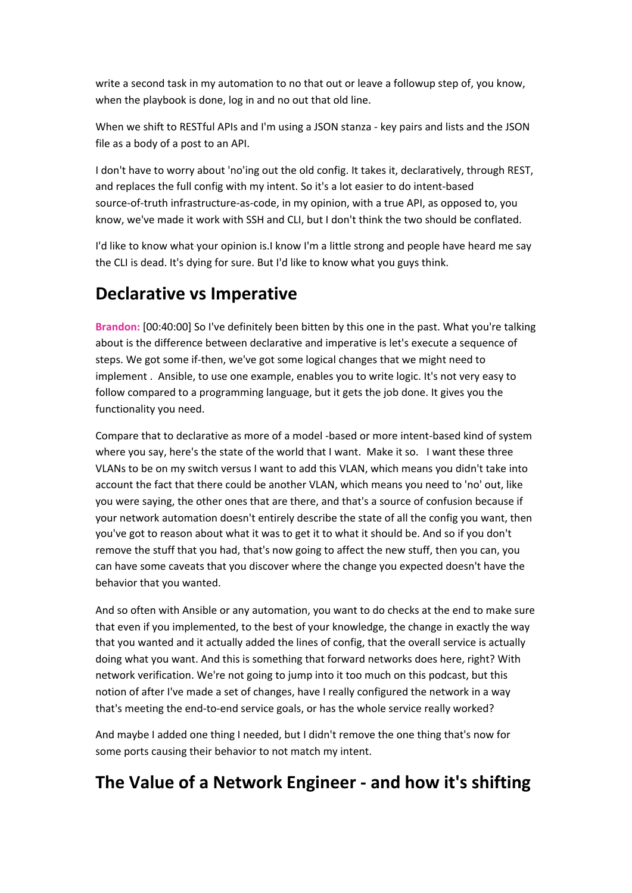write a second task in my automation to no that out or leave a followup step of, you know, when the playbook is done, log in and no out that old line.

When we shift to RESTful APIs and I'm using a JSON stanza - key pairs and lists and the JSON file as a body of a post to an API.

I don't have to worry about 'no'ing out the old config. It takes it, declaratively, through REST, and replaces the full config with my intent. So it's a lot easier to do intent-based source-of-truth infrastructure-as-code, in my opinion, with a true API, as opposed to, you know, we've made it work with SSH and CLI, but I don't think the two should be conflated.

I'd like to know what your opinion is.I know I'm a little strong and people have heard me say the CLI is dead. It's dying for sure. But I'd like to know what you guys think.

## **Declarative vs Imperative**

**Brandon:** [00:40:00] So I've definitely been bitten by this one in the past. What you're talking about is the difference between declarative and imperative is let's execute a sequence of steps. We got some if-then, we've got some logical changes that we might need to implement . Ansible, to use one example, enables you to write logic. It's not very easy to follow compared to a programming language, but it gets the job done. It gives you the functionality you need.

Compare that to declarative as more of a model -based or more intent-based kind of system where you say, here's the state of the world that I want. Make it so. I want these three VLANs to be on my switch versus I want to add this VLAN, which means you didn't take into account the fact that there could be another VLAN, which means you need to 'no' out, like you were saying, the other ones that are there, and that's a source of confusion because if your network automation doesn't entirely describe the state of all the config you want, then you've got to reason about what it was to get it to what it should be. And so if you don't remove the stuff that you had, that's now going to affect the new stuff, then you can, you can have some caveats that you discover where the change you expected doesn't have the behavior that you wanted.

And so often with Ansible or any automation, you want to do checks at the end to make sure that even if you implemented, to the best of your knowledge, the change in exactly the way that you wanted and it actually added the lines of config, that the overall service is actually doing what you want. And this is something that forward networks does here, right? With network verification. We're not going to jump into it too much on this podcast, but this notion of after I've made a set of changes, have I really configured the network in a way that's meeting the end-to-end service goals, or has the whole service really worked?

And maybe I added one thing I needed, but I didn't remove the one thing that's now for some ports causing their behavior to not match my intent.

#### **The Value of a Network Engineer - and how it's shifting**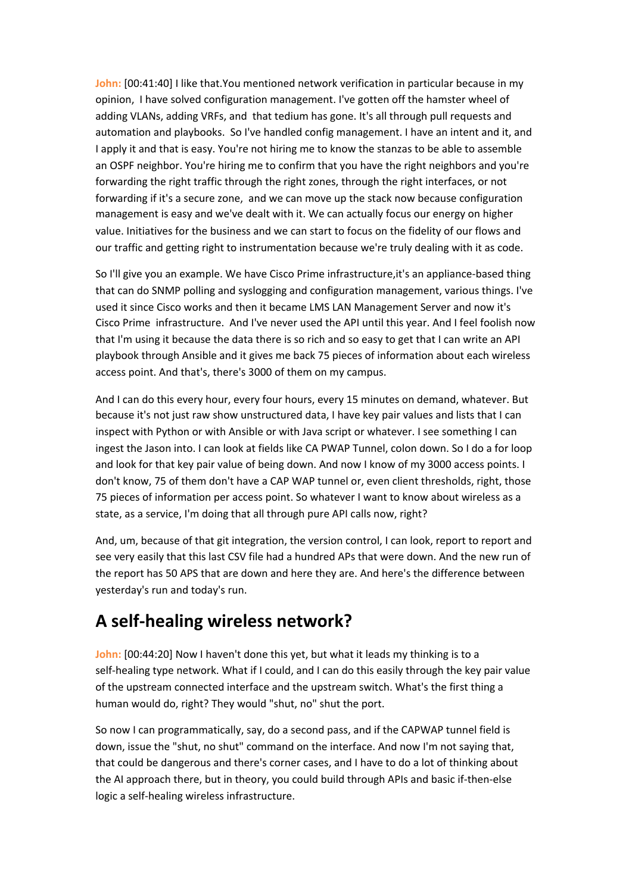**John:** [00:41:40] I like that.You mentioned network verification in particular because in my opinion, I have solved configuration management. I've gotten off the hamster wheel of adding VLANs, adding VRFs, and that tedium has gone. It's all through pull requests and automation and playbooks. So I've handled config management. I have an intent and it, and I apply it and that is easy. You're not hiring me to know the stanzas to be able to assemble an OSPF neighbor. You're hiring me to confirm that you have the right neighbors and you're forwarding the right traffic through the right zones, through the right interfaces, or not forwarding if it's a secure zone, and we can move up the stack now because configuration management is easy and we've dealt with it. We can actually focus our energy on higher value. Initiatives for the business and we can start to focus on the fidelity of our flows and our traffic and getting right to instrumentation because we're truly dealing with it as code.

So I'll give you an example. We have Cisco Prime infrastructure,it's an appliance-based thing that can do SNMP polling and syslogging and configuration management, various things. I've used it since Cisco works and then it became LMS LAN Management Server and now it's Cisco Prime infrastructure. And I've never used the API until this year. And I feel foolish now that I'm using it because the data there is so rich and so easy to get that I can write an API playbook through Ansible and it gives me back 75 pieces of information about each wireless access point. And that's, there's 3000 of them on my campus.

And I can do this every hour, every four hours, every 15 minutes on demand, whatever. But because it's not just raw show unstructured data, I have key pair values and lists that I can inspect with Python or with Ansible or with Java script or whatever. I see something I can ingest the Jason into. I can look at fields like CA PWAP Tunnel, colon down. So I do a for loop and look for that key pair value of being down. And now I know of my 3000 access points. I don't know, 75 of them don't have a CAP WAP tunnel or, even client thresholds, right, those 75 pieces of information per access point. So whatever I want to know about wireless as a state, as a service, I'm doing that all through pure API calls now, right?

And, um, because of that git integration, the version control, I can look, report to report and see very easily that this last CSV file had a hundred APs that were down. And the new run of the report has 50 APS that are down and here they are. And here's the difference between yesterday's run and today's run.

#### **A self-healing wireless network?**

**John:** [00:44:20] Now I haven't done this yet, but what it leads my thinking is to a self-healing type network. What if I could, and I can do this easily through the key pair value of the upstream connected interface and the upstream switch. What's the first thing a human would do, right? They would "shut, no" shut the port.

So now I can programmatically, say, do a second pass, and if the CAPWAP tunnel field is down, issue the "shut, no shut" command on the interface. And now I'm not saying that, that could be dangerous and there's corner cases, and I have to do a lot of thinking about the AI approach there, but in theory, you could build through APIs and basic if-then-else logic a self-healing wireless infrastructure.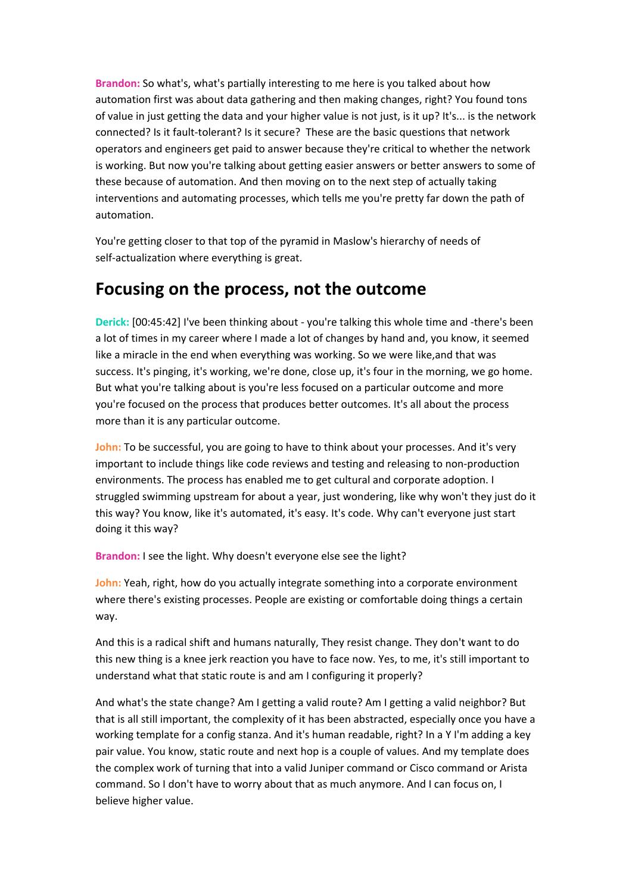**Brandon:** So what's, what's partially interesting to me here is you talked about how automation first was about data gathering and then making changes, right? You found tons of value in just getting the data and your higher value is not just, is it up? It's... is the network connected? Is it fault-tolerant? Is it secure? These are the basic questions that network operators and engineers get paid to answer because they're critical to whether the network is working. But now you're talking about getting easier answers or better answers to some of these because of automation. And then moving on to the next step of actually taking interventions and automating processes, which tells me you're pretty far down the path of automation.

You're getting closer to that top of the pyramid in Maslow's hierarchy of needs of self-actualization where everything is great.

#### **Focusing on the process, not the outcome**

**Derick:** [00:45:42] I've been thinking about - you're talking this whole time and -there's been a lot of times in my career where I made a lot of changes by hand and, you know, it seemed like a miracle in the end when everything was working. So we were like,and that was success. It's pinging, it's working, we're done, close up, it's four in the morning, we go home. But what you're talking about is you're less focused on a particular outcome and more you're focused on the process that produces better outcomes. It's all about the process more than it is any particular outcome.

**John:** To be successful, you are going to have to think about your processes. And it's very important to include things like code reviews and testing and releasing to non-production environments. The process has enabled me to get cultural and corporate adoption. I struggled swimming upstream for about a year, just wondering, like why won't they just do it this way? You know, like it's automated, it's easy. It's code. Why can't everyone just start doing it this way?

**Brandon:** I see the light. Why doesn't everyone else see the light?

**John:** Yeah, right, how do you actually integrate something into a corporate environment where there's existing processes. People are existing or comfortable doing things a certain way.

And this is a radical shift and humans naturally, They resist change. They don't want to do this new thing is a knee jerk reaction you have to face now. Yes, to me, it's still important to understand what that static route is and am I configuring it properly?

And what's the state change? Am I getting a valid route? Am I getting a valid neighbor? But that is all still important, the complexity of it has been abstracted, especially once you have a working template for a config stanza. And it's human readable, right? In a Y I'm adding a key pair value. You know, static route and next hop is a couple of values. And my template does the complex work of turning that into a valid Juniper command or Cisco command or Arista command. So I don't have to worry about that as much anymore. And I can focus on, I believe higher value.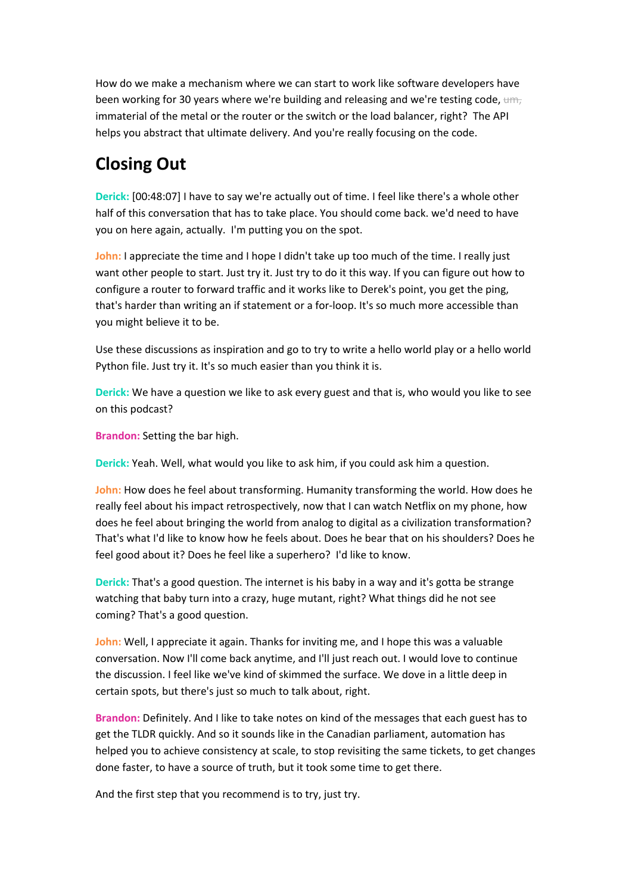How do we make a mechanism where we can start to work like software developers have been working for 30 years where we're building and releasing and we're testing code,  $um<sub>r</sub>$ immaterial of the metal or the router or the switch or the load balancer, right? The API helps you abstract that ultimate delivery. And you're really focusing on the code.

# **Closing Out**

**Derick:** [00:48:07] I have to say we're actually out of time. I feel like there's a whole other half of this conversation that has to take place. You should come back. we'd need to have you on here again, actually. I'm putting you on the spot.

**John:** I appreciate the time and I hope I didn't take up too much of the time. I really just want other people to start. Just try it. Just try to do it this way. If you can figure out how to configure a router to forward traffic and it works like to Derek's point, you get the ping, that's harder than writing an if statement or a for-loop. It's so much more accessible than you might believe it to be.

Use these discussions as inspiration and go to try to write a hello world play or a hello world Python file. Just try it. It's so much easier than you think it is.

**Derick:** We have a question we like to ask every guest and that is, who would you like to see on this podcast?

**Brandon:** Setting the bar high.

**Derick:** Yeah. Well, what would you like to ask him, if you could ask him a question.

**John:** How does he feel about transforming. Humanity transforming the world. How does he really feel about his impact retrospectively, now that I can watch Netflix on my phone, how does he feel about bringing the world from analog to digital as a civilization transformation? That's what I'd like to know how he feels about. Does he bear that on his shoulders? Does he feel good about it? Does he feel like a superhero? I'd like to know.

**Derick:** That's a good question. The internet is his baby in a way and it's gotta be strange watching that baby turn into a crazy, huge mutant, right? What things did he not see coming? That's a good question.

**John:** Well, I appreciate it again. Thanks for inviting me, and I hope this was a valuable conversation. Now I'll come back anytime, and I'll just reach out. I would love to continue the discussion. I feel like we've kind of skimmed the surface. We dove in a little deep in certain spots, but there's just so much to talk about, right.

**Brandon:** Definitely. And I like to take notes on kind of the messages that each guest has to get the TLDR quickly. And so it sounds like in the Canadian parliament, automation has helped you to achieve consistency at scale, to stop revisiting the same tickets, to get changes done faster, to have a source of truth, but it took some time to get there.

And the first step that you recommend is to try, just try.